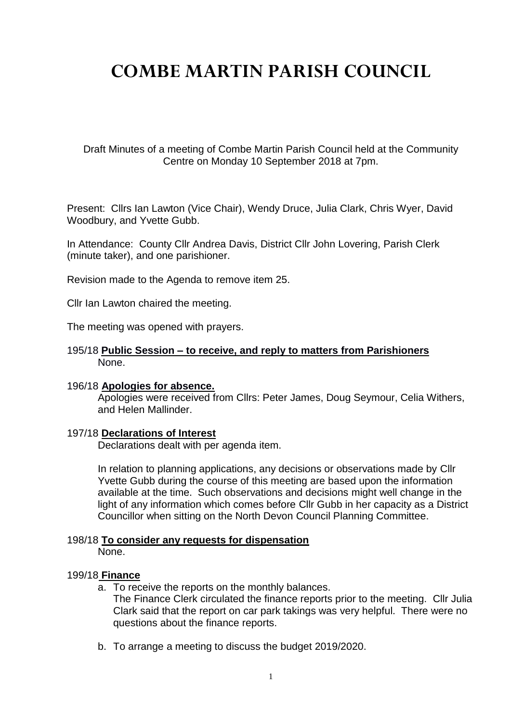# **COMBE MARTIN PARISH COUNCIL**

Draft Minutes of a meeting of Combe Martin Parish Council held at the Community Centre on Monday 10 September 2018 at 7pm.

Present: Cllrs Ian Lawton (Vice Chair), Wendy Druce, Julia Clark, Chris Wyer, David Woodbury, and Yvette Gubb.

In Attendance: County Cllr Andrea Davis, District Cllr John Lovering, Parish Clerk (minute taker), and one parishioner.

Revision made to the Agenda to remove item 25.

Cllr Ian Lawton chaired the meeting.

The meeting was opened with prayers.

### 195/18 **Public Session – to receive, and reply to matters from Parishioners**  None.

#### 196/18 **Apologies for absence.**

Apologies were received from Cllrs: Peter James, Doug Seymour, Celia Withers, and Helen Mallinder.

### 197/18 **Declarations of Interest**

Declarations dealt with per agenda item.

In relation to planning applications, any decisions or observations made by Cllr Yvette Gubb during the course of this meeting are based upon the information available at the time. Such observations and decisions might well change in the light of any information which comes before Cllr Gubb in her capacity as a District Councillor when sitting on the North Devon Council Planning Committee.

# 198/18 **To consider any requests for dispensation**

None.

### 199/18 **Finance**

a. To receive the reports on the monthly balances.

The Finance Clerk circulated the finance reports prior to the meeting. Cllr Julia Clark said that the report on car park takings was very helpful. There were no questions about the finance reports.

b. To arrange a meeting to discuss the budget 2019/2020.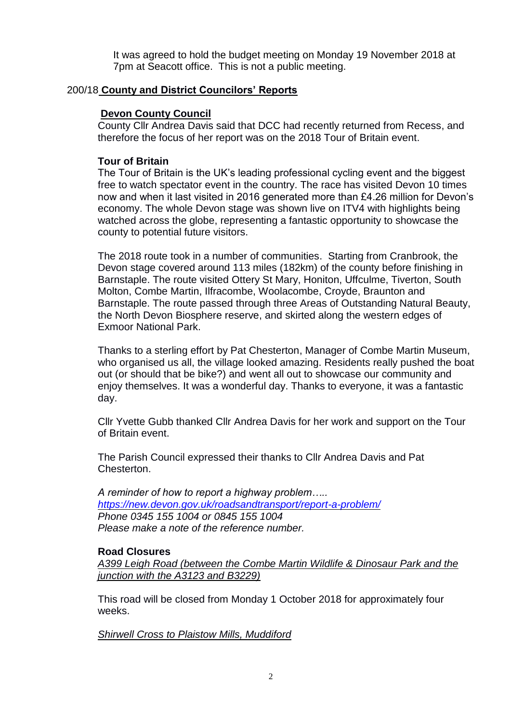It was agreed to hold the budget meeting on Monday 19 November 2018 at 7pm at Seacott office. This is not a public meeting.

## 200/18 **County and District Councilors' Reports**

## **Devon County Council**

County Cllr Andrea Davis said that DCC had recently returned from Recess, and therefore the focus of her report was on the 2018 Tour of Britain event.

## **Tour of Britain**

The Tour of Britain is the UK's leading professional cycling event and the biggest free to watch spectator event in the country. The race has visited Devon 10 times now and when it last visited in 2016 generated more than £4.26 million for Devon's economy. The whole Devon stage was shown live on ITV4 with highlights being watched across the globe, representing a fantastic opportunity to showcase the county to potential future visitors.

The 2018 route took in a number of communities. Starting from Cranbrook, the Devon stage covered around 113 miles (182km) of the county before finishing in Barnstaple. The route visited Ottery St Mary, Honiton, Uffculme, Tiverton, South Molton, Combe Martin, Ilfracombe, Woolacombe, Croyde, Braunton and Barnstaple. The route passed through three Areas of Outstanding Natural Beauty, the North Devon Biosphere reserve, and skirted along the western edges of Exmoor National Park.

Thanks to a sterling effort by Pat Chesterton, Manager of Combe Martin Museum, who organised us all, the village looked amazing. Residents really pushed the boat out (or should that be bike?) and went all out to showcase our community and enjoy themselves. It was a wonderful day. Thanks to everyone, it was a fantastic day.

Cllr Yvette Gubb thanked Cllr Andrea Davis for her work and support on the Tour of Britain event.

The Parish Council expressed their thanks to Cllr Andrea Davis and Pat Chesterton.

*A reminder of how to report a highway problem….. <https://new.devon.gov.uk/roadsandtransport/report-a-problem/> Phone 0345 155 1004 or 0845 155 1004 Please make a note of the reference number.*

### **Road Closures**

*A399 Leigh Road (between the Combe Martin Wildlife & Dinosaur Park and the junction with the A3123 and B3229)*

This road will be closed from Monday 1 October 2018 for approximately four weeks.

*Shirwell Cross to Plaistow Mills, Muddiford*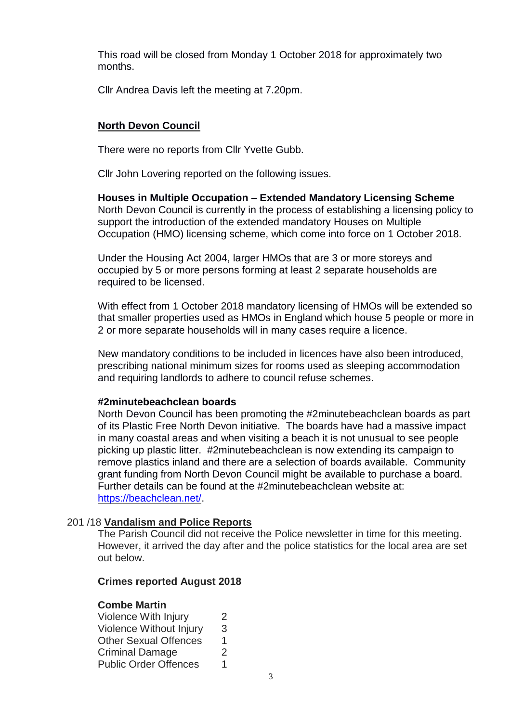This road will be closed from Monday 1 October 2018 for approximately two months.

Cllr Andrea Davis left the meeting at 7.20pm.

# **North Devon Council**

There were no reports from Cllr Yvette Gubb.

Cllr John Lovering reported on the following issues.

**Houses in Multiple Occupation – Extended Mandatory Licensing Scheme** North Devon Council is currently in the process of establishing a licensing policy to support the introduction of the extended mandatory Houses on Multiple Occupation (HMO) licensing scheme, which come into force on 1 October 2018.

Under the Housing Act 2004, larger HMOs that are 3 or more storeys and occupied by 5 or more persons forming at least 2 separate households are required to be licensed.

With effect from 1 October 2018 mandatory licensing of HMOs will be extended so that smaller properties used as HMOs in England which house 5 people or more in 2 or more separate households will in many cases require a licence.

New mandatory conditions to be included in licences have also been introduced, prescribing national minimum sizes for rooms used as sleeping accommodation and requiring landlords to adhere to council refuse schemes.

# **#2minutebeachclean boards**

North Devon Council has been promoting the #2minutebeachclean boards as part of its Plastic Free North Devon initiative. The boards have had a massive impact in many coastal areas and when visiting a beach it is not unusual to see people picking up plastic litter. #2minutebeachclean is now extending its campaign to remove plastics inland and there are a selection of boards available. Community grant funding from North Devon Council might be available to purchase a board. Further details can be found at the #2minutebeachclean website at: [https://beachclean.net/.](https://beachclean.net/)

# 201 /18 **Vandalism and Police Reports**

The Parish Council did not receive the Police newsletter in time for this meeting. However, it arrived the day after and the police statistics for the local area are set out below.

# **Crimes reported August 2018**

# **Combe Martin**

| Violence With Injury         | $\mathcal{P}$ |
|------------------------------|---------------|
| Violence Without Injury      | 3             |
| <b>Other Sexual Offences</b> | 1             |
| Criminal Damage              | 2             |
| <b>Public Order Offences</b> | 1             |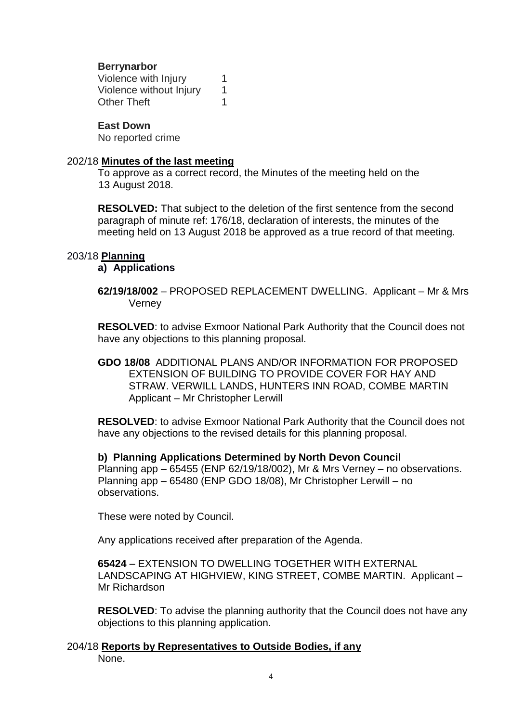# **Berrynarbor**

Violence with Injury 1 Violence without Injury 1 Other Theft 1

## **East Down**

No reported crime

## 202/18 **Minutes of the last meeting**

To approve as a correct record, the Minutes of the meeting held on the 13 August 2018.

**RESOLVED:** That subject to the deletion of the first sentence from the second paragraph of minute ref: 176/18, declaration of interests, the minutes of the meeting held on 13 August 2018 be approved as a true record of that meeting.

# 203/18 **Planning**

**a) Applications**

**62/19/18/002** – PROPOSED REPLACEMENT DWELLING. Applicant – Mr & Mrs Verney

**RESOLVED**: to advise Exmoor National Park Authority that the Council does not have any objections to this planning proposal.

**GDO 18/08** ADDITIONAL PLANS AND/OR INFORMATION FOR PROPOSED EXTENSION OF BUILDING TO PROVIDE COVER FOR HAY AND STRAW. VERWILL LANDS, HUNTERS INN ROAD, COMBE MARTIN Applicant – Mr Christopher Lerwill

**RESOLVED**: to advise Exmoor National Park Authority that the Council does not have any objections to the revised details for this planning proposal.

**b) Planning Applications Determined by North Devon Council** Planning app – 65455 (ENP 62/19/18/002), Mr & Mrs Verney – no observations. Planning app – 65480 (ENP GDO 18/08), Mr Christopher Lerwill – no observations.

These were noted by Council.

Any applications received after preparation of the Agenda.

**65424** – EXTENSION TO DWELLING TOGETHER WITH EXTERNAL LANDSCAPING AT HIGHVIEW, KING STREET, COMBE MARTIN. Applicant – Mr Richardson

**RESOLVED**: To advise the planning authority that the Council does not have any objections to this planning application.

204/18 **Reports by Representatives to Outside Bodies, if any** None.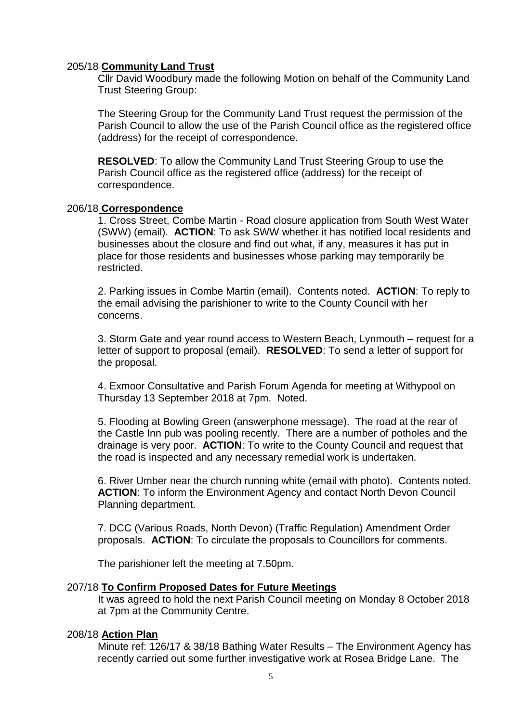## 205/18 **Community Land Trust**

Cllr David Woodbury made the following Motion on behalf of the Community Land Trust Steering Group:

The Steering Group for the Community Land Trust request the permission of the Parish Council to allow the use of the Parish Council office as the registered office (address) for the receipt of correspondence.

**RESOLVED**: To allow the Community Land Trust Steering Group to use the Parish Council office as the registered office (address) for the receipt of correspondence.

### 206/18 **Correspondence**

1. Cross Street, Combe Martin - Road closure application from South West Water (SWW) (email). **ACTION**: To ask SWW whether it has notified local residents and businesses about the closure and find out what, if any, measures it has put in place for those residents and businesses whose parking may temporarily be restricted.

2. Parking issues in Combe Martin (email). Contents noted. **ACTION**: To reply to the email advising the parishioner to write to the County Council with her concerns.

3. Storm Gate and year round access to Western Beach, Lynmouth – request for a letter of support to proposal (email). **RESOLVED**: To send a letter of support for the proposal.

4. Exmoor Consultative and Parish Forum Agenda for meeting at Withypool on Thursday 13 September 2018 at 7pm. Noted.

5. Flooding at Bowling Green (answerphone message). The road at the rear of the Castle Inn pub was pooling recently. There are a number of potholes and the drainage is very poor. **ACTION**: To write to the County Council and request that the road is inspected and any necessary remedial work is undertaken.

6. River Umber near the church running white (email with photo). Contents noted. **ACTION**: To inform the Environment Agency and contact North Devon Council Planning department.

7. DCC (Various Roads, North Devon) (Traffic Regulation) Amendment Order proposals. **ACTION**: To circulate the proposals to Councillors for comments.

The parishioner left the meeting at 7.50pm.

# 207/18 **To Confirm Proposed Dates for Future Meetings**

It was agreed to hold the next Parish Council meeting on Monday 8 October 2018 at 7pm at the Community Centre.

### 208/18 **Action Plan**

Minute ref: 126/17 & 38/18 Bathing Water Results – The Environment Agency has recently carried out some further investigative work at Rosea Bridge Lane. The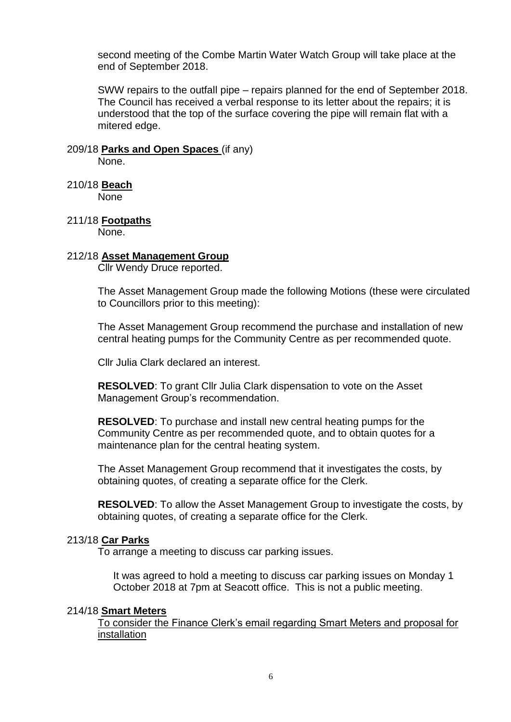second meeting of the Combe Martin Water Watch Group will take place at the end of September 2018.

SWW repairs to the outfall pipe – repairs planned for the end of September 2018. The Council has received a verbal response to its letter about the repairs; it is understood that the top of the surface covering the pipe will remain flat with a mitered edge.

# 209/18 **Parks and Open Spaces** (if any)

None.

210/18 **Beach**

None

211/18 **Footpaths**

None.

## 212/18 **Asset Management Group**

Cllr Wendy Druce reported.

The Asset Management Group made the following Motions (these were circulated to Councillors prior to this meeting):

The Asset Management Group recommend the purchase and installation of new central heating pumps for the Community Centre as per recommended quote.

Cllr Julia Clark declared an interest.

**RESOLVED**: To grant Cllr Julia Clark dispensation to vote on the Asset Management Group's recommendation.

**RESOLVED**: To purchase and install new central heating pumps for the Community Centre as per recommended quote, and to obtain quotes for a maintenance plan for the central heating system.

The Asset Management Group recommend that it investigates the costs, by obtaining quotes, of creating a separate office for the Clerk.

**RESOLVED**: To allow the Asset Management Group to investigate the costs, by obtaining quotes, of creating a separate office for the Clerk.

### 213/18 **Car Parks**

To arrange a meeting to discuss car parking issues.

It was agreed to hold a meeting to discuss car parking issues on Monday 1 October 2018 at 7pm at Seacott office. This is not a public meeting.

### 214/18 **Smart Meters**

To consider the Finance Clerk's email regarding Smart Meters and proposal for installation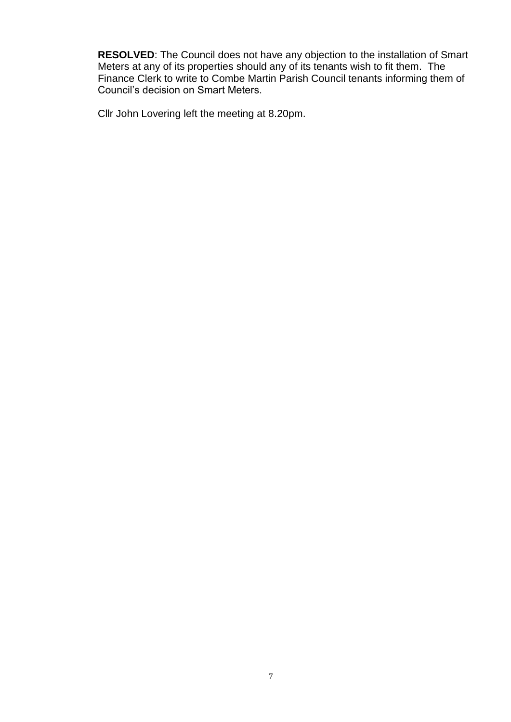**RESOLVED**: The Council does not have any objection to the installation of Smart Meters at any of its properties should any of its tenants wish to fit them. The Finance Clerk to write to Combe Martin Parish Council tenants informing them of Council's decision on Smart Meters.

Cllr John Lovering left the meeting at 8.20pm.